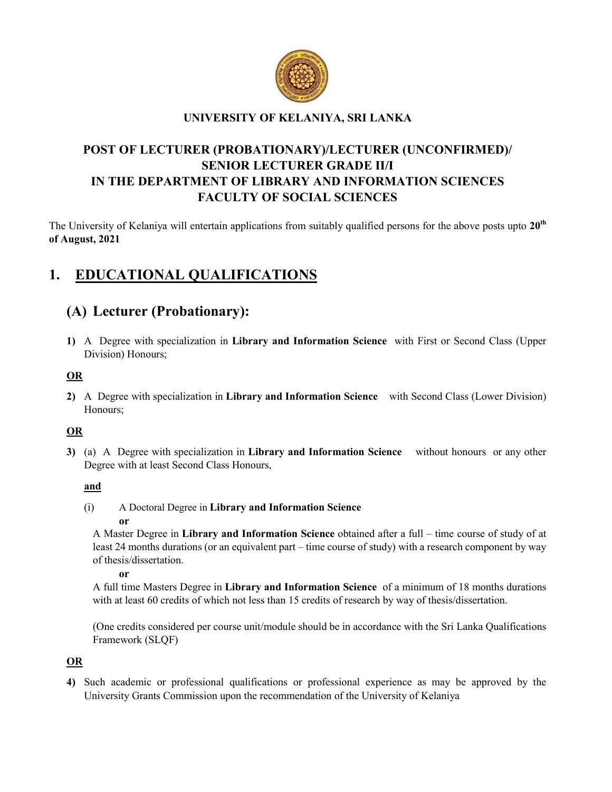

## UNIVERSITY OF KELANIYA, SRI LANKA

## POST OF LECTURER (PROBATIONARY)/LECTURER (UNCONFIRMED)/ SENIOR LECTURER GRADE II/I IN THE DEPARTMENT OF LIBRARY AND INFORMATION SCIENCES FACULTY OF SOCIAL SCIENCES

The University of Kelaniya will entertain applications from suitably qualified persons for the above posts upto  $20<sup>th</sup>$ of August, 2021

# 1. EDUCATIONAL QUALIFICATIONS

## (A) Lecturer (Probationary):

1) A Degree with specialization in Library and Information Science with First or Second Class (Upper Division) Honours;

### OR

2) A Degree with specialization in Library and Information Science with Second Class (Lower Division) Honours;

## OR

3) (a) A Degree with specialization in Library and Information Science without honours or any other Degree with at least Second Class Honours,

### and

(i) A Doctoral Degree in Library and Information Science

#### or

A Master Degree in Library and Information Science obtained after a full – time course of study of at least 24 months durations (or an equivalent part – time course of study) with a research component by way of thesis/dissertation.

#### or

A full time Masters Degree in Library and Information Science of a minimum of 18 months durations with at least 60 credits of which not less than 15 credits of research by way of thesis/dissertation.

(One credits considered per course unit/module should be in accordance with the Sri Lanka Qualifications Framework (SLQF)

## OR

4) Such academic or professional qualifications or professional experience as may be approved by the University Grants Commission upon the recommendation of the University of Kelaniya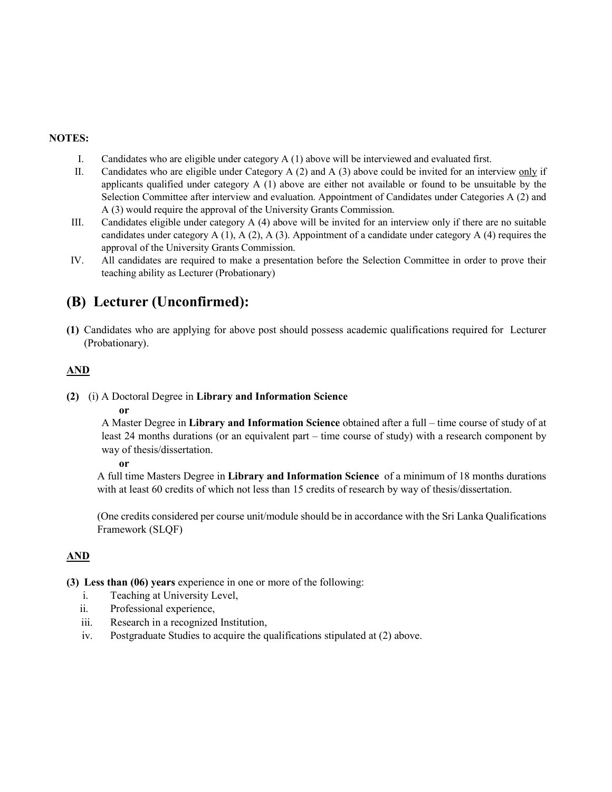#### NOTES:

- I. Candidates who are eligible under category A (1) above will be interviewed and evaluated first.
- II. Candidates who are eligible under Category A (2) and A (3) above could be invited for an interview only if applicants qualified under category  $A(1)$  above are either not available or found to be unsuitable by the Selection Committee after interview and evaluation. Appointment of Candidates under Categories A (2) and A (3) would require the approval of the University Grants Commission.
- III. Candidates eligible under category A (4) above will be invited for an interview only if there are no suitable candidates under category  $A(1)$ ,  $A(2)$ ,  $A(3)$ . Appointment of a candidate under category  $A(4)$  requires the approval of the University Grants Commission.
- IV. All candidates are required to make a presentation before the Selection Committee in order to prove their teaching ability as Lecturer (Probationary)

## (B) Lecturer (Unconfirmed):

(1) Candidates who are applying for above post should possess academic qualifications required for Lecturer (Probationary).

### AND

#### (2) (i) A Doctoral Degree in Library and Information Science

#### or

A Master Degree in Library and Information Science obtained after a full – time course of study of at least 24 months durations (or an equivalent part – time course of study) with a research component by way of thesis/dissertation.

#### or

A full time Masters Degree in Library and Information Science of a minimum of 18 months durations with at least 60 credits of which not less than 15 credits of research by way of thesis/dissertation.

(One credits considered per course unit/module should be in accordance with the Sri Lanka Qualifications Framework (SLQF)

### AND

(3) Less than (06) years experience in one or more of the following:

- i. Teaching at University Level,
- ii. Professional experience,
- iii. Research in a recognized Institution,
- iv. Postgraduate Studies to acquire the qualifications stipulated at (2) above.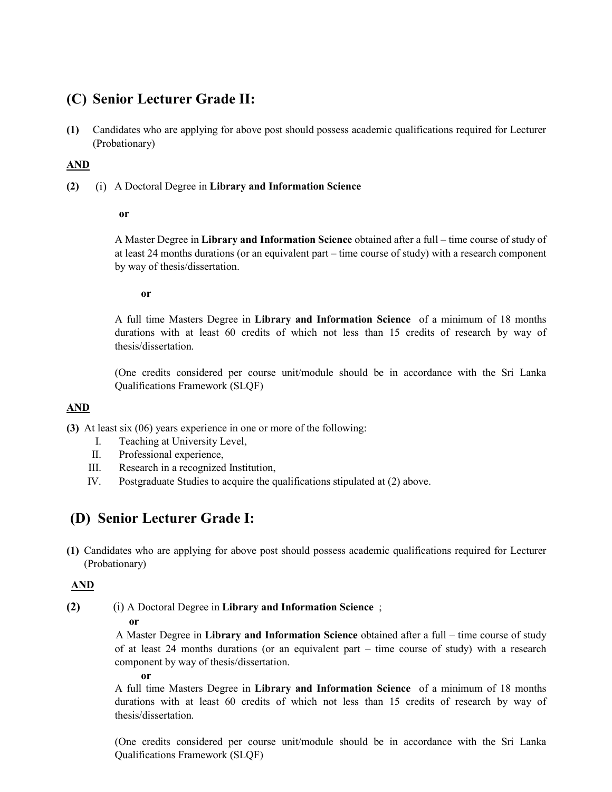## (C) Senior Lecturer Grade II:

(1) Candidates who are applying for above post should possess academic qualifications required for Lecturer (Probationary)

#### AND

(2) (i) A Doctoral Degree in Library and Information Science

#### or

A Master Degree in Library and Information Science obtained after a full – time course of study of at least 24 months durations (or an equivalent part – time course of study) with a research component by way of thesis/dissertation.

#### or

A full time Masters Degree in Library and Information Science of a minimum of 18 months durations with at least 60 credits of which not less than 15 credits of research by way of thesis/dissertation.

(One credits considered per course unit/module should be in accordance with the Sri Lanka Qualifications Framework (SLQF)

### AND

(3) At least six (06) years experience in one or more of the following:

- I. Teaching at University Level,
- II. Professional experience,
- III. Research in a recognized Institution,
- IV. Postgraduate Studies to acquire the qualifications stipulated at (2) above.

## (D) Senior Lecturer Grade I:

(1) Candidates who are applying for above post should possess academic qualifications required for Lecturer (Probationary)

### AND

(2) (i) A Doctoral Degree in Library and Information Science ;

#### or

 A Master Degree in Library and Information Science obtained after a full – time course of study of at least 24 months durations (or an equivalent part – time course of study) with a research component by way of thesis/dissertation.

or

A full time Masters Degree in Library and Information Science of a minimum of 18 months durations with at least 60 credits of which not less than 15 credits of research by way of thesis/dissertation.

(One credits considered per course unit/module should be in accordance with the Sri Lanka Qualifications Framework (SLQF)